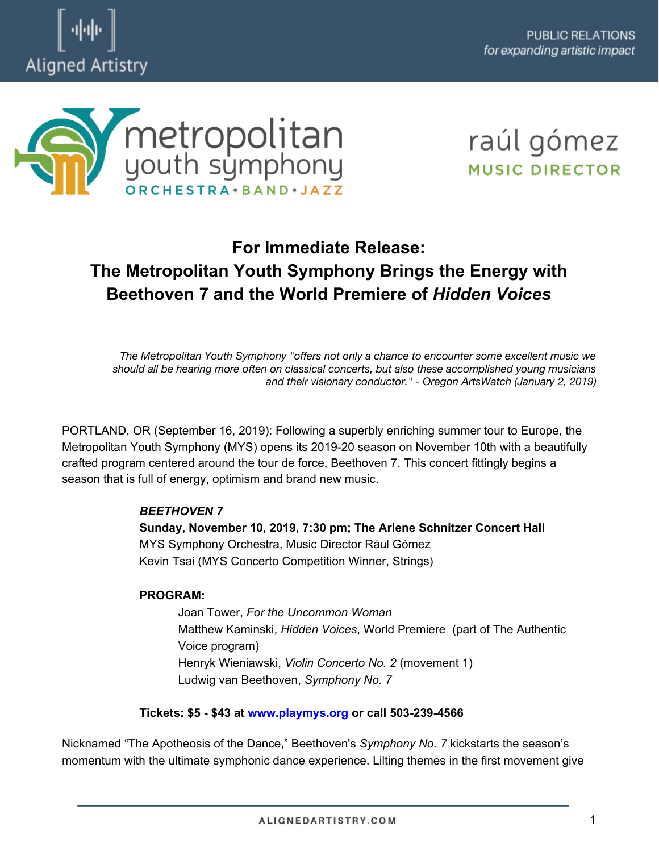



# raúl gómez **MUSIC DIRECTOR**

# **For Immediate Release: The Metropolitan Youth Symphony Brings the Energy with Beethoven 7 and the World Premiere of** *Hidden Voices*

*The Metropolitan Youth Symphony "offers not only a chance to encounter some excellent music we should all be hearing more often on classical concerts, but also these accomplished young musicians and their visionary conductor." - Oregon ArtsWatch (January 2, 2019)*

PORTLAND, OR (September 16, 2019): Following a superbly enriching summer tour to Europe, the Metropolitan Youth Symphony (MYS) opens its 2019-20 season on November 10th with a beautifully crafted program centered around the tour de force, Beethoven 7. This concert fittingly begins a season that is full of energy, optimism and brand new music.

### *BEETHOVEN 7*

**Sunday, November 10, 2019, 7:30 pm; The Arlene Schnitzer Concert Hall** MYS Symphony Orchestra, Music Director Rául Gómez Kevin Tsai (MYS Concerto Competition Winner, Strings)

#### **PROGRAM:**

Joan Tower, *For the Uncommon Woman*  Matthew Kaminski, *Hidden Voices*, World Premiere (part of The Authentic Voice program) Henryk Wieniawski, *Violin Concerto No. 2* (movement 1) Ludwig van Beethoven, *Symphony No. 7*

#### **Tickets: \$5 - \$43 at [www.playmys.org](http://www.playmys.org/) or call 503-239-4566**

Nicknamed "The Apotheosis of the Dance," Beethoven's *Symphony No. 7* kickstarts the season's momentum with the ultimate symphonic dance experience. Lilting themes in the first movement give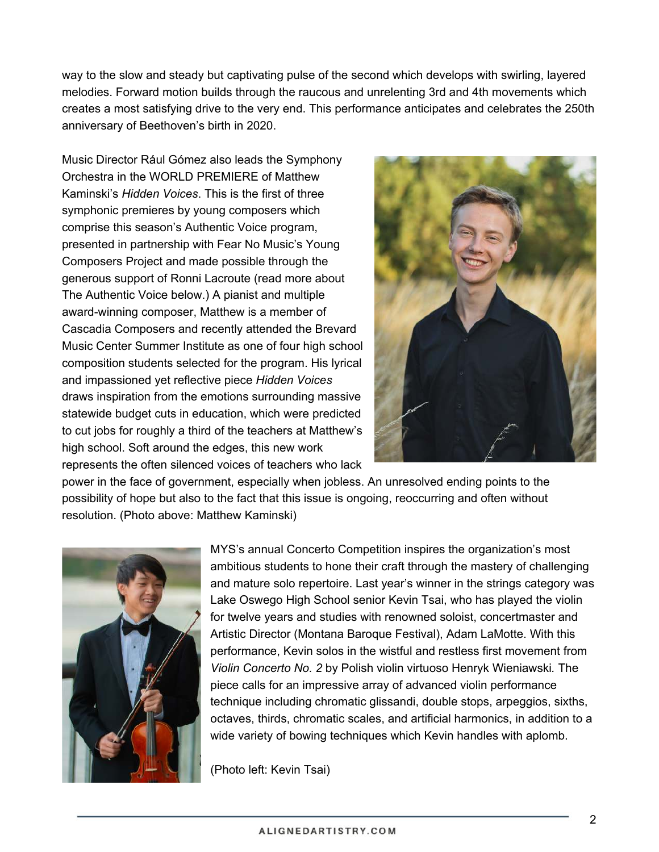way to the slow and steady but captivating pulse of the second which develops with swirling, layered melodies. Forward motion builds through the raucous and unrelenting 3rd and 4th movements which creates a most satisfying drive to the very end. This performance anticipates and celebrates the 250th anniversary of Beethoven's birth in 2020.

Music Director Rául Gómez also leads the Symphony Orchestra in the WORLD PREMIERE of Matthew Kaminski's *Hidden Voices*. This is the first of three symphonic premieres by young composers which comprise this season's Authentic Voice program, presented in partnership with Fear No Music's Young Composers Project and made possible through the generous support of Ronni Lacroute (read more about The Authentic Voice below.) A pianist and multiple award-winning composer, Matthew is a member of Cascadia Composers and recently attended the Brevard Music Center Summer Institute as one of four high school composition students selected for the program. His lyrical and impassioned yet reflective piece *Hidden Voices*  draws inspiration from the emotions surrounding massive statewide budget cuts in education, which were predicted to cut jobs for roughly a third of the teachers at Matthew's high school. Soft around the edges, this new work represents the often silenced voices of teachers who lack



power in the face of government, especially when jobless. An unresolved ending points to the possibility of hope but also to the fact that this issue is ongoing, reoccurring and often without resolution. (Photo above: Matthew Kaminski)



MYS's annual Concerto Competition inspires the organization's most ambitious students to hone their craft through the mastery of challenging and mature solo repertoire. Last year's winner in the strings category was Lake Oswego High School senior Kevin Tsai, who has played the violin for twelve years and studies with renowned soloist, concertmaster and Artistic Director (Montana Baroque Festival), Adam LaMotte. With this performance, Kevin solos in the wistful and restless first movement from *Violin Concerto No. 2* by Polish violin virtuoso Henryk Wieniawski*.* The piece calls for an impressive array of advanced violin performance technique including chromatic glissandi, double stops, arpeggios, sixths, octaves, thirds, chromatic scales, and artificial harmonics, in addition to a wide variety of bowing techniques which Kevin handles with aplomb.

(Photo left: Kevin Tsai)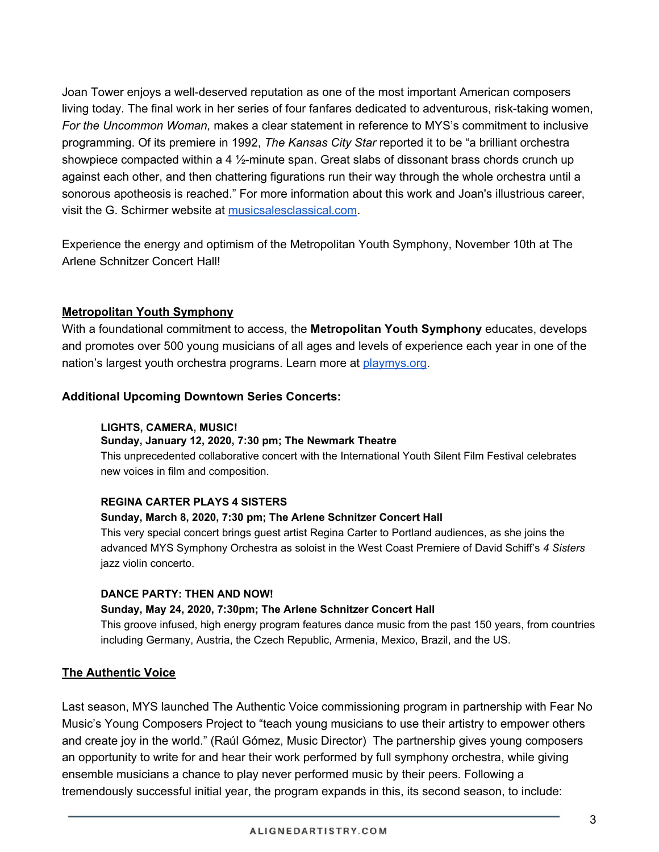Joan Tower enjoys a well-deserved reputation as one of the most important American composers living today. The final work in her series of four fanfares dedicated to adventurous, risk-taking women, *For the Uncommon Woman,* makes a clear statement in reference to MYS's commitment to inclusive programming. Of its premiere in 1992, *The Kansas City Star* reported it to be "a brilliant orchestra showpiece compacted within a 4 1/<sub>2</sub>-minute span. Great slabs of dissonant brass chords crunch up against each other, and then chattering figurations run their way through the whole orchestra until a sonorous apotheosis is reached." For more information about this work and Joan's illustrious career, visit the G. Schirmer website at [musicsalesclassical.com.](http://www.musicsalesclassical.com/composer/short-bio/Joan-Tower)

Experience the energy and optimism of the Metropolitan Youth Symphony, November 10th at The Arlene Schnitzer Concert Hall!

#### **Metropolitan Youth Symphony**

With a foundational commitment to access, the **Metropolitan Youth Symphony** educates, develops and promotes over 500 young musicians of all ages and levels of experience each year in one of the nation's largest youth orchestra programs. Learn more at [playmys.org.](https://playmys.org/)

#### **Additional Upcoming Downtown Series Concerts:**

#### **LIGHTS, CAMERA, MUSIC!**

#### **Sunday, January 12, 2020, 7:30 pm; The Newmark Theatre**

This unprecedented collaborative concert with the International Youth Silent Film Festival celebrates new voices in film and composition.

#### **REGINA CARTER PLAYS 4 SISTERS**

#### **Sunday, March 8, 2020, 7:30 pm; The Arlene Schnitzer Concert Hall**

This very special concert brings guest artist Regina Carter to Portland audiences, as she joins the advanced MYS Symphony Orchestra as soloist in the West Coast Premiere of David Schiff's *4 Sisters*  jazz violin concerto.

#### **DANCE PARTY: THEN AND NOW!**

#### **Sunday, May 24, 2020, 7:30pm; The Arlene Schnitzer Concert Hall**

This groove infused, high energy program features dance music from the past 150 years, from countries including Germany, Austria, the Czech Republic, Armenia, Mexico, Brazil, and the US.

#### **The Authentic Voice**

Last season, MYS launched The Authentic Voice commissioning program in partnership with Fear No Music's Young Composers Project to "teach young musicians to use their artistry to empower others and create joy in the world." (Raúl Gómez, Music Director) The partnership gives young composers an opportunity to write for and hear their work performed by full symphony orchestra, while giving ensemble musicians a chance to play never performed music by their peers. Following a tremendously successful initial year, the program expands in this, its second season, to include: